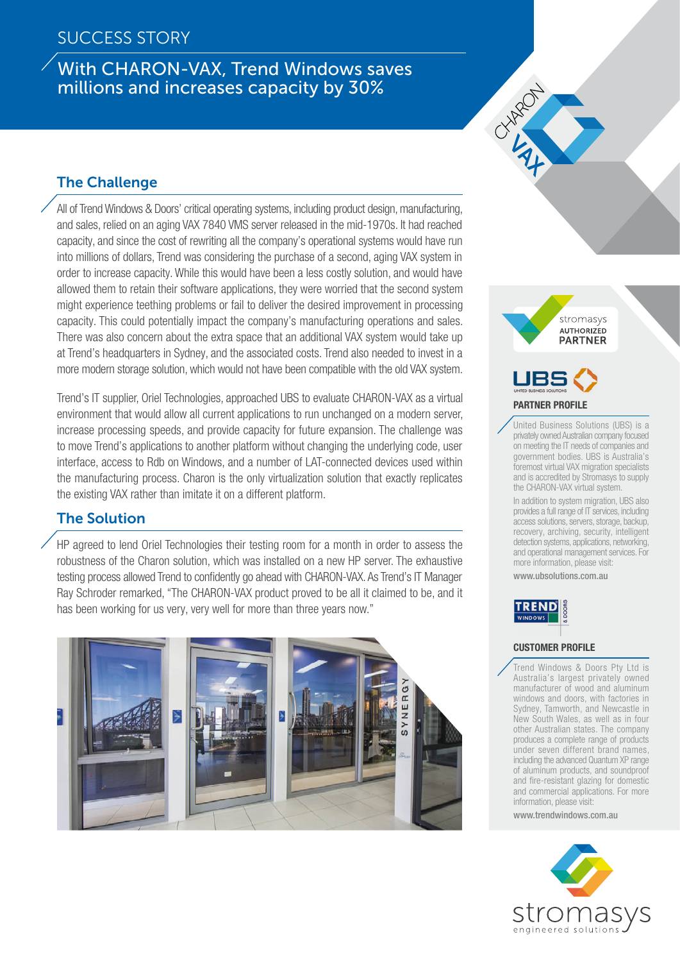# With CHARON-VAX, Trend Windows saves millions and increases capacity by 30%

# The Challenge

All of Trend Windows & Doors' critical operating systems, including product design, manufacturing, and sales, relied on an aging VAX 7840 VMS server released in the mid-1970s. It had reached capacity, and since the cost of rewriting all the company's operational systems would have run into millions of dollars, Trend was considering the purchase of a second, aging VAX system in order to increase capacity. While this would have been a less costly solution, and would have allowed them to retain their software applications, they were worried that the second system might experience teething problems or fail to deliver the desired improvement in processing capacity. This could potentially impact the company's manufacturing operations and sales. There was also concern about the extra space that an additional VAX system would take up at Trend's headquarters in Sydney, and the associated costs. Trend also needed to invest in a more modern storage solution, which would not have been compatible with the old VAX system.

Trend's IT supplier, Oriel Technologies, approached UBS to evaluate CHARON-VAX as a virtual environment that would allow all current applications to run unchanged on a modern server, increase processing speeds, and provide capacity for future expansion. The challenge was to move Trend's applications to another platform without changing the underlying code, user interface, access to Rdb on Windows, and a number of LAT-connected devices used within the manufacturing process. Charon is the only virtualization solution that exactly replicates the existing VAX rather than imitate it on a different platform.

## The Solution

HP agreed to lend Oriel Technologies their testing room for a month in order to assess the robustness of the Charon solution, which was installed on a new HP server. The exhaustive testing process allowed Trend to confidently go ahead with CHARON-VAX. As Trend's IT Manager Ray Schroder remarked, "The CHARON-VAX product proved to be all it claimed to be, and it has been working for us very, very well for more than three years now."







United Business Solutions (UBS) is a privately owned Australian company focused on meeting the IT needs of companies and government bodies. UBS is Australia's foremost virtual VAX migration specialists and is accredited by Stromasys to supply the CHARON-VAX virtual system.

In addition to system migration, UBS also provides a full range of IT services, including access solutions, servers, storage, backup, recovery, archiving, security, intelligent detection systems, applications, networking, and operational management services. For more information, please visit: www.ubsolutions.com.au



#### Customer Profile

Trend Windows & Doors Pty Ltd is Australia's largest privately owned manufacturer of wood and aluminum windows and doors, with factories in Sydney, Tamworth, and Newcastle in New South Wales, as well as in four other Australian states. The company produces a complete range of products under seven different brand names, including the advanced Quantum XP range of aluminum products, and soundproof and fire-resistant glazing for domestic and commercial applications. For more information, please visit:

www.trendwindows.com.au